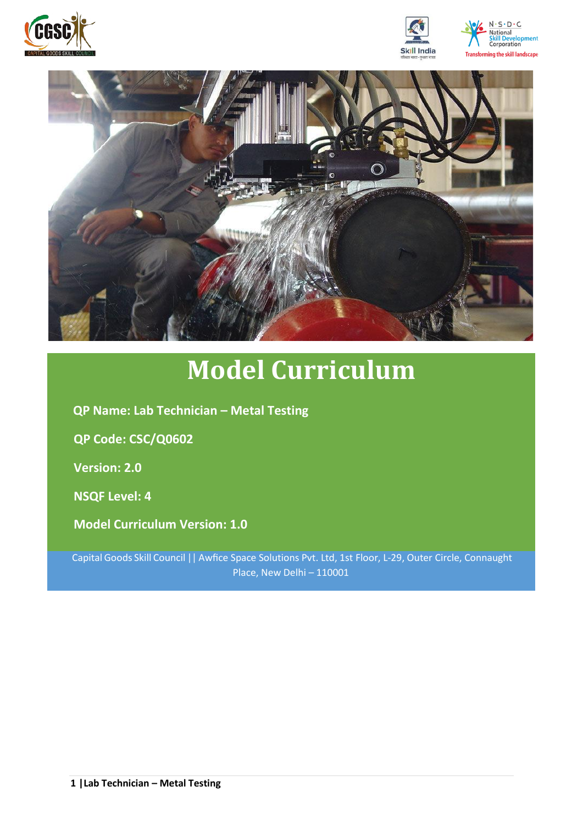







# **Model Curriculum**

**QP Name: Lab Technician – Metal Testing** 

**QP Code: CSC/Q0602**

**Version: 2.0**

**NSQF Level: 4**

**Model Curriculum Version: 1.0**

Capital Goods Skill Council || Awfice Space Solutions Pvt. Ltd, 1st Floor, L-29, Outer Circle, Connaught Place, New Delhi – 110001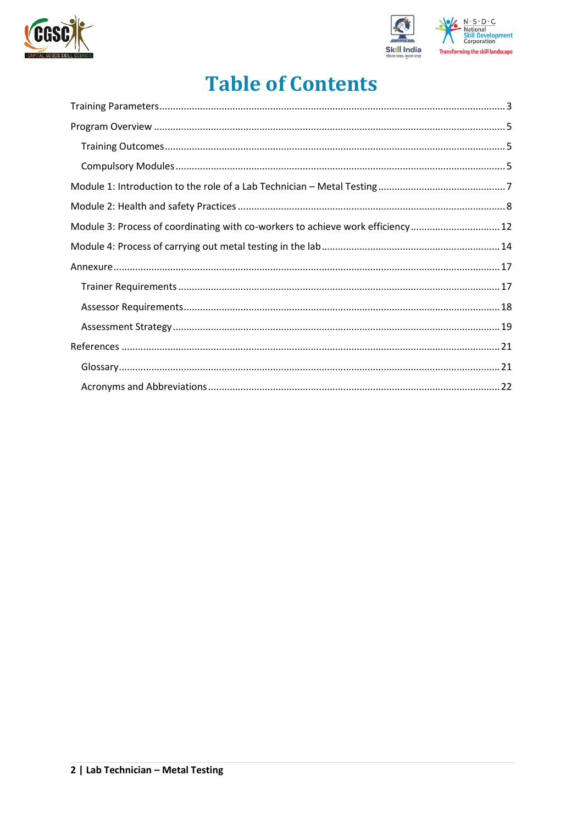



## **Table of Contents**

| Module 3: Process of coordinating with co-workers to achieve work efficiency 12 |
|---------------------------------------------------------------------------------|
|                                                                                 |
|                                                                                 |
|                                                                                 |
|                                                                                 |
|                                                                                 |
|                                                                                 |
|                                                                                 |
|                                                                                 |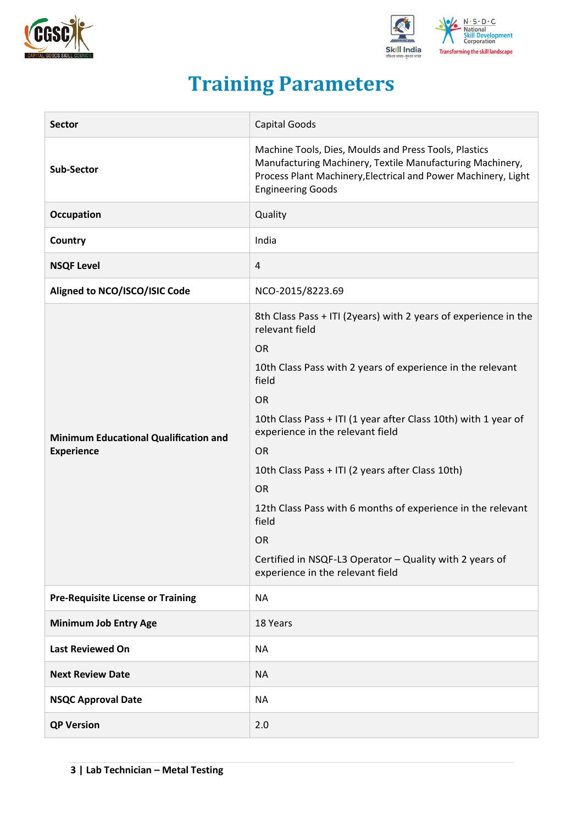



## **Training Parameters**

<span id="page-2-0"></span>

| <b>Sector</b>                                                     | <b>Capital Goods</b>                                                                                                                                                                                                                                                                                                                                                                                                                                                                                                   |
|-------------------------------------------------------------------|------------------------------------------------------------------------------------------------------------------------------------------------------------------------------------------------------------------------------------------------------------------------------------------------------------------------------------------------------------------------------------------------------------------------------------------------------------------------------------------------------------------------|
| Sub-Sector                                                        | Machine Tools, Dies, Moulds and Press Tools, Plastics<br>Manufacturing Machinery, Textile Manufacturing Machinery,<br>Process Plant Machinery, Electrical and Power Machinery, Light<br><b>Engineering Goods</b>                                                                                                                                                                                                                                                                                                       |
| Occupation                                                        | Quality                                                                                                                                                                                                                                                                                                                                                                                                                                                                                                                |
| Country                                                           | India                                                                                                                                                                                                                                                                                                                                                                                                                                                                                                                  |
| <b>NSQF Level</b>                                                 | 4                                                                                                                                                                                                                                                                                                                                                                                                                                                                                                                      |
| Aligned to NCO/ISCO/ISIC Code                                     | NCO-2015/8223.69                                                                                                                                                                                                                                                                                                                                                                                                                                                                                                       |
| <b>Minimum Educational Qualification and</b><br><b>Experience</b> | 8th Class Pass + ITI (2years) with 2 years of experience in the<br>relevant field<br><b>OR</b><br>10th Class Pass with 2 years of experience in the relevant<br>field<br><b>OR</b><br>10th Class Pass + ITI (1 year after Class 10th) with 1 year of<br>experience in the relevant field<br><b>OR</b><br>10th Class Pass + ITI (2 years after Class 10th)<br><b>OR</b><br>12th Class Pass with 6 months of experience in the relevant<br>field<br><b>OR</b><br>Certified in NSQF-L3 Operator - Quality with 2 years of |
|                                                                   | experience in the relevant field                                                                                                                                                                                                                                                                                                                                                                                                                                                                                       |
| <b>Pre-Requisite License or Training</b>                          | <b>NA</b>                                                                                                                                                                                                                                                                                                                                                                                                                                                                                                              |
| <b>Minimum Job Entry Age</b>                                      | 18 Years                                                                                                                                                                                                                                                                                                                                                                                                                                                                                                               |
| <b>Last Reviewed On</b>                                           | <b>NA</b>                                                                                                                                                                                                                                                                                                                                                                                                                                                                                                              |
| <b>Next Review Date</b>                                           | <b>NA</b>                                                                                                                                                                                                                                                                                                                                                                                                                                                                                                              |
| <b>NSQC Approval Date</b>                                         | <b>NA</b>                                                                                                                                                                                                                                                                                                                                                                                                                                                                                                              |
| <b>QP Version</b>                                                 | 2.0                                                                                                                                                                                                                                                                                                                                                                                                                                                                                                                    |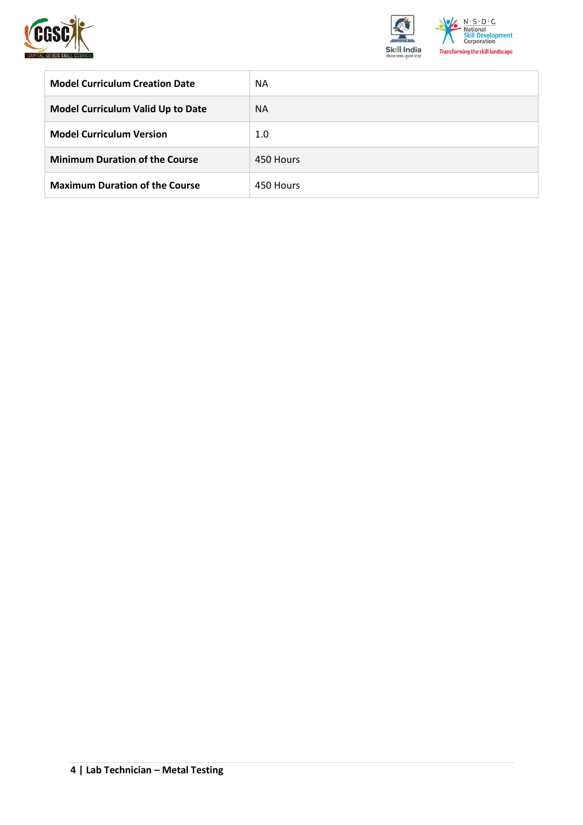



| <b>Model Curriculum Creation Date</b>    | <b>NA</b> |
|------------------------------------------|-----------|
| <b>Model Curriculum Valid Up to Date</b> | <b>NA</b> |
| <b>Model Curriculum Version</b>          | 1.0       |
| <b>Minimum Duration of the Course</b>    | 450 Hours |
| <b>Maximum Duration of the Course</b>    | 450 Hours |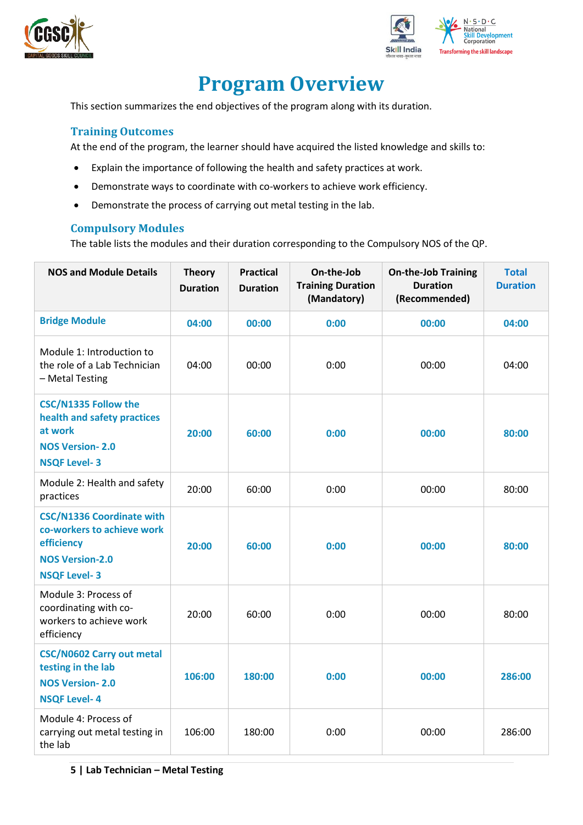



## **Program Overview**

<span id="page-4-0"></span>This section summarizes the end objectives of the program along with its duration.

#### <span id="page-4-1"></span>**Training Outcomes**

At the end of the program, the learner should have acquired the listed knowledge and skills to:

- Explain the importance of following the health and safety practices at work.
- Demonstrate ways to coordinate with co-workers to achieve work efficiency.
- Demonstrate the process of carrying out metal testing in the lab.

#### <span id="page-4-2"></span>**Compulsory Modules**

The table lists the modules and their duration corresponding to the Compulsory NOS of the QP.

| <b>NOS and Module Details</b>                                                                                                 | <b>Theory</b><br><b>Duration</b> | <b>Practical</b><br><b>Duration</b> | On-the-Job<br><b>Training Duration</b><br>(Mandatory) | <b>On-the-Job Training</b><br><b>Duration</b><br>(Recommended) | <b>Total</b><br><b>Duration</b> |
|-------------------------------------------------------------------------------------------------------------------------------|----------------------------------|-------------------------------------|-------------------------------------------------------|----------------------------------------------------------------|---------------------------------|
| <b>Bridge Module</b>                                                                                                          | 04:00                            | 00:00                               | 0:00                                                  | 00:00                                                          | 04:00                           |
| Module 1: Introduction to<br>the role of a Lab Technician<br>- Metal Testing                                                  | 04:00                            | 00:00                               | 0:00                                                  | 00:00                                                          | 04:00                           |
| <b>CSC/N1335 Follow the</b><br>health and safety practices<br>at work<br><b>NOS Version-2.0</b><br><b>NSQF Level-3</b>        | 20:00                            | 60:00                               | 0:00                                                  | 00:00                                                          | 80:00                           |
| Module 2: Health and safety<br>practices                                                                                      | 20:00                            | 60:00                               | 0:00                                                  | 00:00                                                          | 80:00                           |
| <b>CSC/N1336 Coordinate with</b><br>co-workers to achieve work<br>efficiency<br><b>NOS Version-2.0</b><br><b>NSQF Level-3</b> | 20:00                            | 60:00                               | 0:00                                                  | 00:00                                                          | 80:00                           |
| Module 3: Process of<br>coordinating with co-<br>workers to achieve work<br>efficiency                                        | 20:00                            | 60:00                               | 0:00                                                  | 00:00                                                          | 80:00                           |
| <b>CSC/N0602 Carry out metal</b><br>testing in the lab<br><b>NOS Version-2.0</b><br><b>NSQF Level-4</b>                       | 106:00                           | 180:00                              | 0:00                                                  | 00:00                                                          | 286:00                          |
| Module 4: Process of<br>carrying out metal testing in<br>the lab                                                              | 106:00                           | 180:00                              | 0:00                                                  | 00:00                                                          | 286:00                          |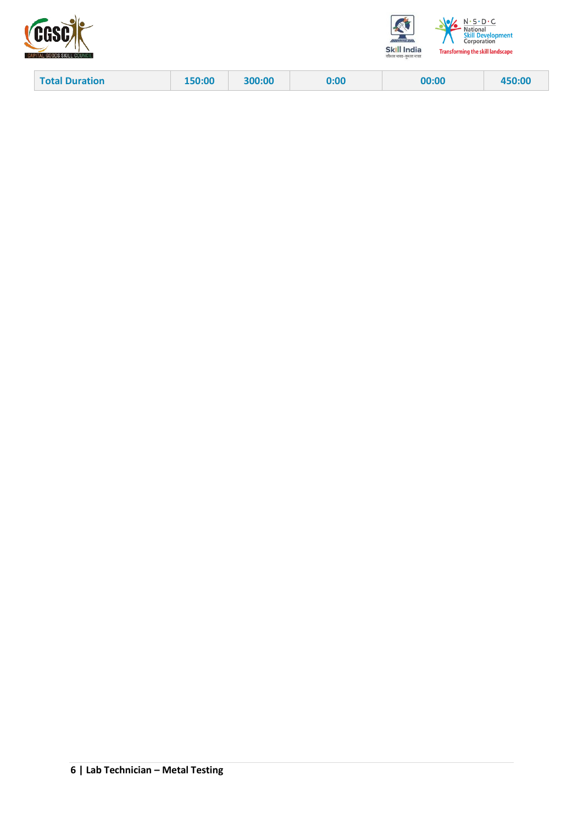



| <b>Total Duration</b><br>150:00 | 300:00 | 0:00 | 00:00 | 450:00 |
|---------------------------------|--------|------|-------|--------|
|---------------------------------|--------|------|-------|--------|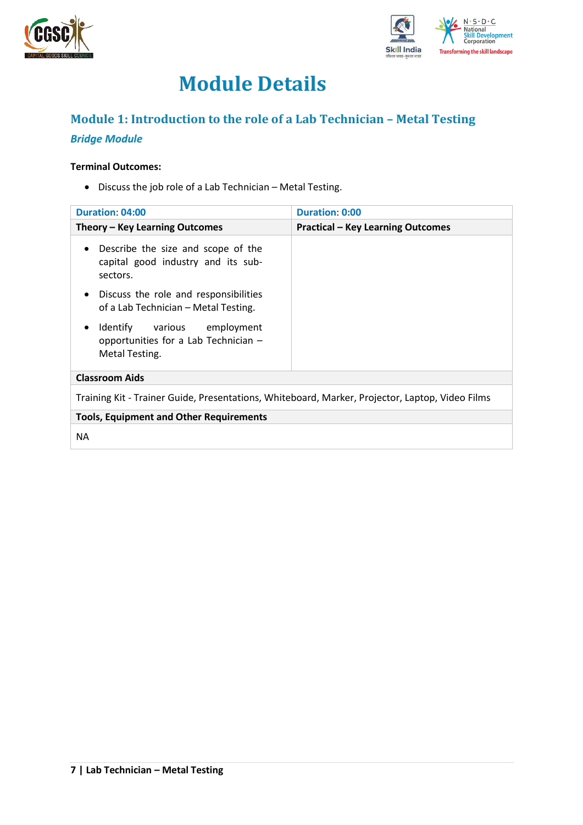



## **Module Details**

## <span id="page-6-0"></span>**Module 1: Introduction to the role of a Lab Technician – Metal Testing**

### *Bridge Module*

#### **Terminal Outcomes:**

• Discuss the job role of a Lab Technician – Metal Testing.

| <b>Duration: 04:00</b>                                                                             | Duration 0:00                            |  |  |  |  |
|----------------------------------------------------------------------------------------------------|------------------------------------------|--|--|--|--|
| Theory – Key Learning Outcomes                                                                     | <b>Practical - Key Learning Outcomes</b> |  |  |  |  |
| Describe the size and scope of the<br>$\bullet$<br>capital good industry and its sub-<br>sectors.  |                                          |  |  |  |  |
| Discuss the role and responsibilities<br>$\bullet$<br>of a Lab Technician - Metal Testing.         |                                          |  |  |  |  |
| Identify various employment<br>$\bullet$<br>opportunities for a Lab Technician -<br>Metal Testing. |                                          |  |  |  |  |
| <b>Classroom Aids</b>                                                                              |                                          |  |  |  |  |
| Training Kit - Trainer Guide, Presentations, Whiteboard, Marker, Projector, Laptop, Video Films    |                                          |  |  |  |  |
| <b>Tools, Equipment and Other Requirements</b>                                                     |                                          |  |  |  |  |
| <b>NA</b>                                                                                          |                                          |  |  |  |  |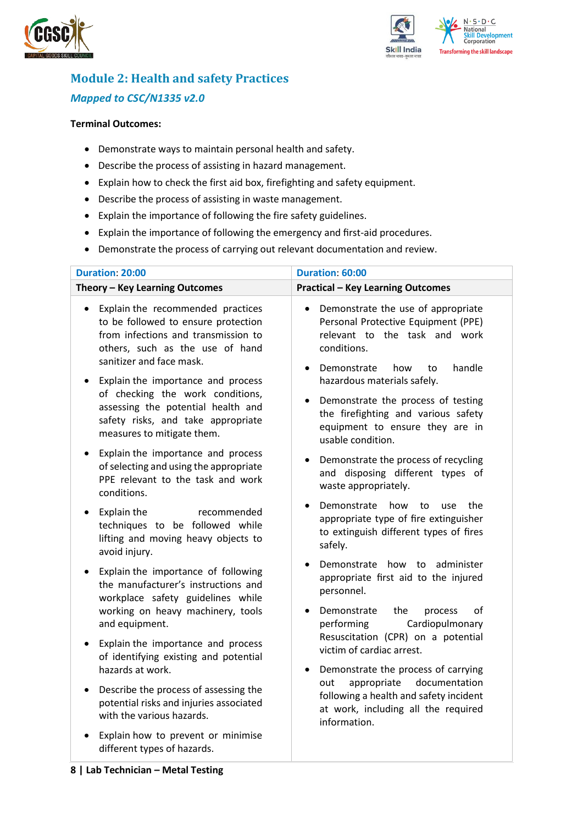



## <span id="page-7-0"></span>**Module 2: Health and safety Practices** *Mapped to CSC/N1335 v2.0*

#### **Terminal Outcomes:**

- Demonstrate ways to maintain personal health and safety.
- Describe the process of assisting in hazard management.
- Explain how to check the first aid box, firefighting and safety equipment.
- Describe the process of assisting in waste management.
- Explain the importance of following the fire safety guidelines.
- Explain the importance of following the emergency and first-aid procedures.
- Demonstrate the process of carrying out relevant documentation and review.

| <b>Duration: 20:00</b>                                                                                                                                                                      | Duration: 60:00                                                                                                                                                                           |  |  |  |
|---------------------------------------------------------------------------------------------------------------------------------------------------------------------------------------------|-------------------------------------------------------------------------------------------------------------------------------------------------------------------------------------------|--|--|--|
| Theory - Key Learning Outcomes                                                                                                                                                              | <b>Practical - Key Learning Outcomes</b>                                                                                                                                                  |  |  |  |
| Explain the recommended practices<br>$\bullet$<br>to be followed to ensure protection<br>from infections and transmission to<br>others, such as the use of hand<br>sanitizer and face mask. | Demonstrate the use of appropriate<br>$\bullet$<br>Personal Protective Equipment (PPE)<br>relevant to the task and work<br>conditions.<br>handle<br>Demonstrate<br>how<br>to<br>$\bullet$ |  |  |  |
| Explain the importance and process<br>of checking the work conditions,<br>assessing the potential health and<br>safety risks, and take appropriate<br>measures to mitigate them.            | hazardous materials safely.<br>Demonstrate the process of testing<br>$\bullet$<br>the firefighting and various safety<br>equipment to ensure they are in<br>usable condition.             |  |  |  |
| Explain the importance and process<br>$\bullet$<br>of selecting and using the appropriate<br>PPE relevant to the task and work<br>conditions.                                               | Demonstrate the process of recycling<br>$\bullet$<br>and disposing different types of<br>waste appropriately.                                                                             |  |  |  |
| Explain the<br>recommended<br>$\bullet$<br>techniques to be followed while<br>lifting and moving heavy objects to<br>avoid injury.                                                          | Demonstrate<br>how<br>to<br>use<br>the<br>appropriate type of fire extinguisher<br>to extinguish different types of fires<br>safely.                                                      |  |  |  |
| Explain the importance of following<br>$\bullet$<br>the manufacturer's instructions and<br>workplace safety guidelines while<br>working on heavy machinery, tools                           | Demonstrate how to administer<br>appropriate first aid to the injured<br>personnel.<br>οf<br>Demonstrate<br>the<br>process                                                                |  |  |  |
| and equipment.<br>Explain the importance and process<br>$\bullet$                                                                                                                           | Cardiopulmonary<br>performing<br>Resuscitation (CPR) on a potential<br>victim of cardiac arrest.                                                                                          |  |  |  |
| of identifying existing and potential<br>hazards at work.                                                                                                                                   | Demonstrate the process of carrying<br>٠                                                                                                                                                  |  |  |  |
| Describe the process of assessing the<br>$\bullet$<br>potential risks and injuries associated<br>with the various hazards.                                                                  | documentation<br>appropriate<br>out<br>following a health and safety incident<br>at work, including all the required<br>information.                                                      |  |  |  |
| Explain how to prevent or minimise<br>different types of hazards.                                                                                                                           |                                                                                                                                                                                           |  |  |  |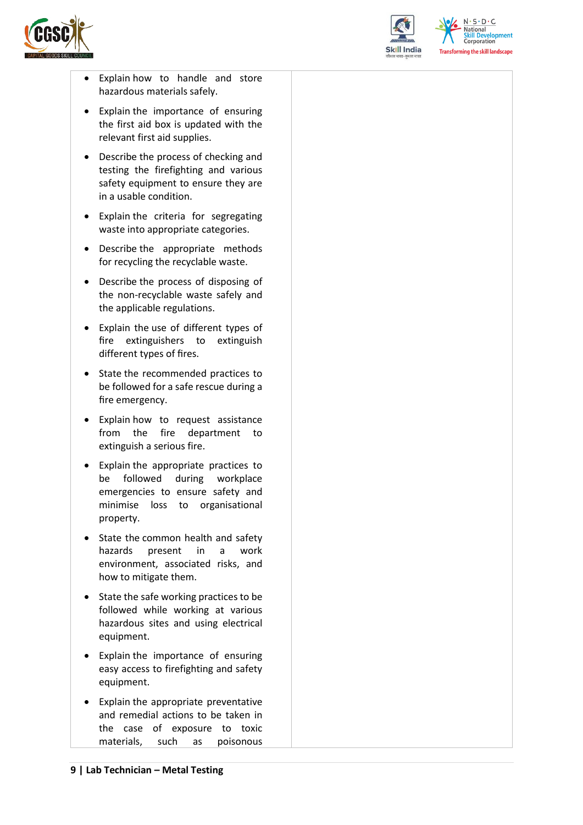



 $N.5.0.6$ **Skill Development**<br>Corporation **Transforming the skill landscape** 

- Explain how to handle and store hazardous materials safely.
- Explain the importance of ensuring the first aid box is updated with the relevant first aid supplies.
- Describe the process of checking and testing the firefighting and various safety equipment to ensure they are in a usable condition.
- Explain the criteria for segregating waste into appropriate categories.
- Describe the appropriate methods for recycling the recyclable waste.
- Describe the process of disposing of the non-recyclable waste safely and the applicable regulations.
- Explain the use of different types of fire extinguishers to extinguish different types of fires.
- State the recommended practices to be followed for a safe rescue during a fire emergency.
- Explain how to request assistance from the fire department to extinguish a serious fire.
- Explain the appropriate practices to be followed during workplace emergencies to ensure safety and minimise loss to organisational property.
- State the common health and safety hazards present in a work environment, associated risks, and how to mitigate them.
- State the safe working practices to be followed while working at various hazardous sites and using electrical equipment.
- Explain the importance of ensuring easy access to firefighting and safety equipment.
- Explain the appropriate preventative and remedial actions to be taken in the case of exposure to toxic materials, such as poisonous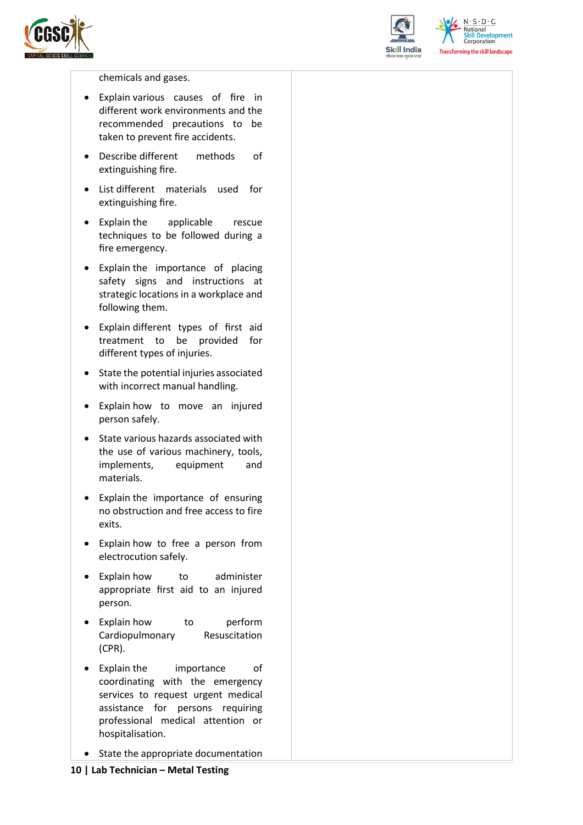



 $N \cdot S \cdot D \cdot C$ National **Skill Development**<br>Corporation **Transforming the skill landscape** 

chemicals and gases.

- Explain various causes of fire in different work environments and the recommended precautions to be taken to prevent fire accidents.
- Describe different methods of extinguishing fire.
- List different materials used for extinguishing fire.
- Explain the applicable rescue techniques to be followed during a fire emergency.
- Explain the importance of placing safety signs and instructions at strategic locations in a workplace and following them.
- Explain different types of first aid treatment to be provided for different types of injuries.
- State the potential injuries associated with incorrect manual handling.
- Explain how to move an injured person safely.
- State various hazards associated with the use of various machinery, tools, implements, equipment and materials.
- Explain the importance of ensuring no obstruction and free access to fire exits.
- Explain how to free a person from electrocution safely.
- Explain how to administer appropriate first aid to an injured person.
- Explain how to perform Cardiopulmonary Resuscitation (CPR).
- Explain the importance of coordinating with the emergency services to request urgent medical assistance for persons requiring professional medical attention or hospitalisation.
- State the appropriate documentation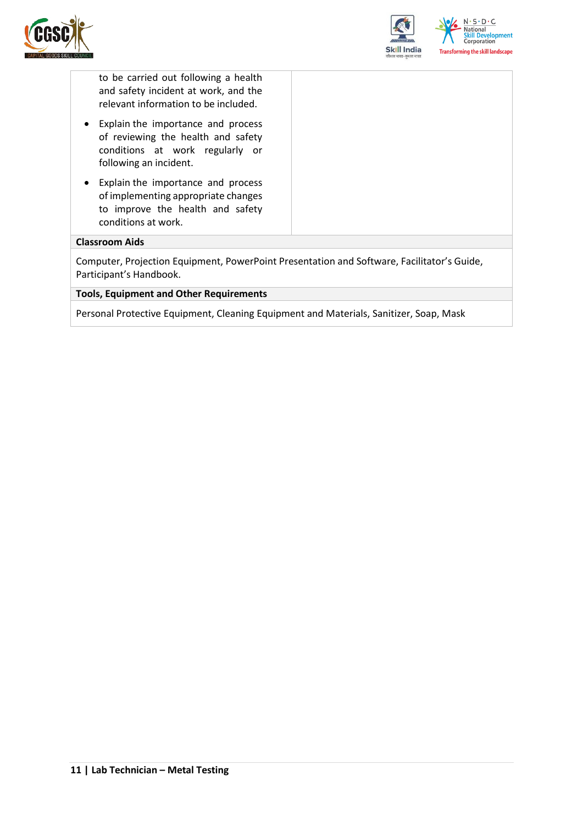



to be carried out following a health and safety incident at work, and the relevant information to be included.

- Explain the importance and process of reviewing the health and safety conditions at work regularly or following an incident.
- Explain the importance and process of implementing appropriate changes to improve the health and safety conditions at work.

#### **Classroom Aids**

Computer, Projection Equipment, PowerPoint Presentation and Software, Facilitator's Guide, Participant's Handbook.

#### **Tools, Equipment and Other Requirements**

Personal Protective Equipment, Cleaning Equipment and Materials, Sanitizer, Soap, Mask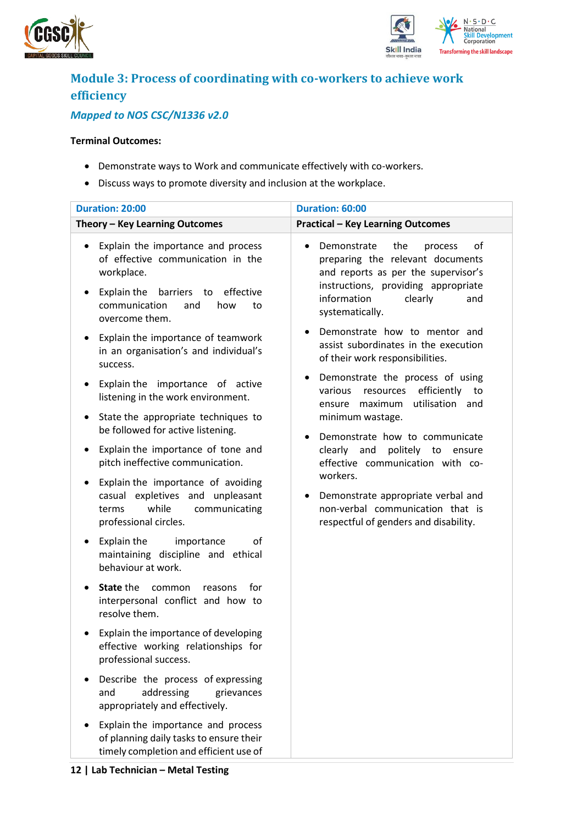



## <span id="page-11-0"></span>**Module 3: Process of coordinating with co-workers to achieve work efficiency**

### *Mapped to NOS CSC/N1336 v2.0*

#### **Terminal Outcomes:**

- Demonstrate ways to Work and communicate effectively with co-workers.
- Discuss ways to promote diversity and inclusion at the workplace.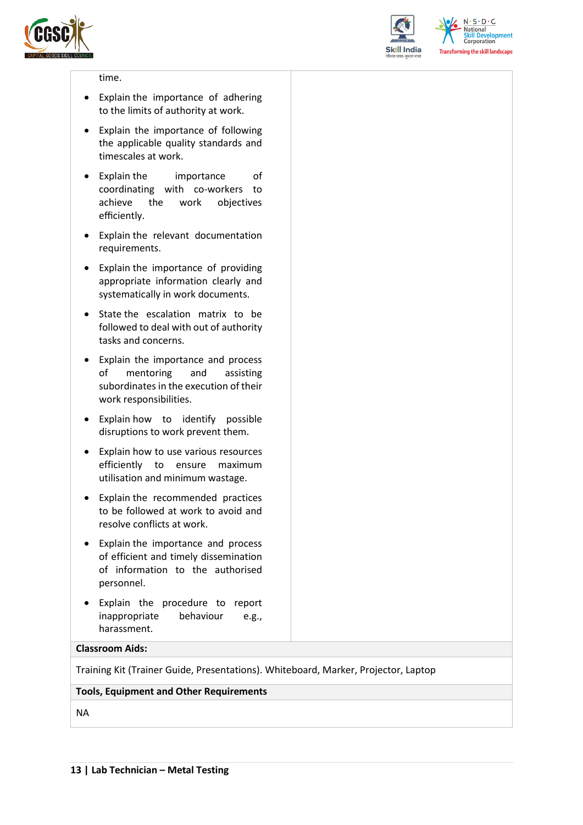



 $N.5.0.6$ **National Skill Development**<br>Corporation **Transforming the skill landscape** 

#### time.

- Explain the importance of adhering to the limits of authority at work.
- Explain the importance of following the applicable quality standards and timescales at work.
- Explain the importance of coordinating with co-workers to achieve the work objectives efficiently.
- Explain the relevant documentation requirements.
- Explain the importance of providing appropriate information clearly and systematically in work documents.
- State the escalation matrix to be followed to deal with out of authority tasks and concerns.
- Explain the importance and process of mentoring and assisting subordinates in the execution of their work responsibilities.
- Explain how to identify possible disruptions to work prevent them.
- Explain how to use various resources efficiently to ensure maximum utilisation and minimum wastage.
- Explain the recommended practices to be followed at work to avoid and resolve conflicts at work.
- Explain the importance and process of efficient and timely dissemination of information to the authorised personnel.
- Explain the procedure to report inappropriate behaviour e.g., harassment.

#### **Classroom Aids:**

Training Kit (Trainer Guide, Presentations). Whiteboard, Marker, Projector, Laptop

#### **Tools, Equipment and Other Requirements**

NA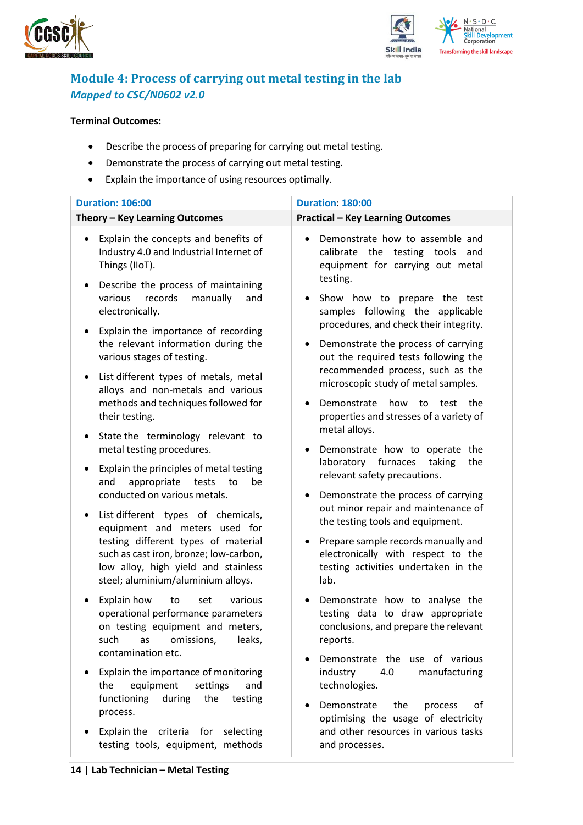



### <span id="page-13-0"></span>**Module 4: Process of carrying out metal testing in the lab**  *Mapped to CSC/N0602 v2.0*

#### **Terminal Outcomes:**

- Describe the process of preparing for carrying out metal testing.
- Demonstrate the process of carrying out metal testing.
- Explain the importance of using resources optimally.

| <b>Duration: 106:00</b><br><b>Duration: 180:00</b>                                                                                                                                                                                                                                                                                                                                                                    |                                                                                                                                                                                                                                                                                                                                                                                                                                        |  |  |  |
|-----------------------------------------------------------------------------------------------------------------------------------------------------------------------------------------------------------------------------------------------------------------------------------------------------------------------------------------------------------------------------------------------------------------------|----------------------------------------------------------------------------------------------------------------------------------------------------------------------------------------------------------------------------------------------------------------------------------------------------------------------------------------------------------------------------------------------------------------------------------------|--|--|--|
| Theory - Key Learning Outcomes                                                                                                                                                                                                                                                                                                                                                                                        |                                                                                                                                                                                                                                                                                                                                                                                                                                        |  |  |  |
| Explain the concepts and benefits of<br>٠<br>Industry 4.0 and Industrial Internet of<br>Things (IIoT).<br>Describe the process of maintaining<br>٠<br>records<br>manually<br>various<br>and<br>electronically.<br>Explain the importance of recording<br>the relevant information during the<br>various stages of testing.<br>List different types of metals, metal<br>$\bullet$<br>alloys and non-metals and various | <b>Practical - Key Learning Outcomes</b><br>Demonstrate how to assemble and<br>calibrate the testing tools and<br>equipment for carrying out metal<br>testing.<br>Show how to prepare the test<br>samples following the applicable<br>procedures, and check their integrity.<br>Demonstrate the process of carrying<br>out the required tests following the<br>recommended process, such as the<br>microscopic study of metal samples. |  |  |  |
| methods and techniques followed for<br>their testing.<br>State the terminology relevant to<br>$\bullet$                                                                                                                                                                                                                                                                                                               | Demonstrate<br>how<br>to<br>test<br>the<br>properties and stresses of a variety of<br>metal alloys.                                                                                                                                                                                                                                                                                                                                    |  |  |  |
| metal testing procedures.<br>Explain the principles of metal testing<br>٠<br>appropriate<br>and<br>tests<br>to<br>be<br>conducted on various metals.                                                                                                                                                                                                                                                                  | Demonstrate how to operate the<br>laboratory<br>taking<br>furnaces<br>the<br>relevant safety precautions.<br>Demonstrate the process of carrying                                                                                                                                                                                                                                                                                       |  |  |  |
| List different types of chemicals,<br>$\bullet$<br>equipment and meters used for<br>testing different types of material<br>such as cast iron, bronze; low-carbon,<br>low alloy, high yield and stainless<br>steel; aluminium/aluminium alloys.                                                                                                                                                                        | out minor repair and maintenance of<br>the testing tools and equipment.<br>Prepare sample records manually and<br>electronically with respect to the<br>testing activities undertaken in the<br>lab.                                                                                                                                                                                                                                   |  |  |  |
| Explain how<br>various<br>to<br>set<br>٠<br>operational performance parameters<br>on testing equipment and meters,<br>omissions,<br>such<br>as<br>leaks,<br>contamination etc.                                                                                                                                                                                                                                        | Demonstrate how to analyse the<br>testing data to draw appropriate<br>conclusions, and prepare the relevant<br>reports.                                                                                                                                                                                                                                                                                                                |  |  |  |
| Explain the importance of monitoring<br>equipment<br>the<br>settings<br>and<br>functioning<br>during<br>the<br>testing<br>process.                                                                                                                                                                                                                                                                                    | Demonstrate the use of various<br>industry<br>4.0<br>manufacturing<br>technologies.<br>the<br>Demonstrate<br>of<br>process<br>optimising the usage of electricity                                                                                                                                                                                                                                                                      |  |  |  |
| Explain the criteria for selecting<br>testing tools, equipment, methods                                                                                                                                                                                                                                                                                                                                               | and other resources in various tasks<br>and processes.                                                                                                                                                                                                                                                                                                                                                                                 |  |  |  |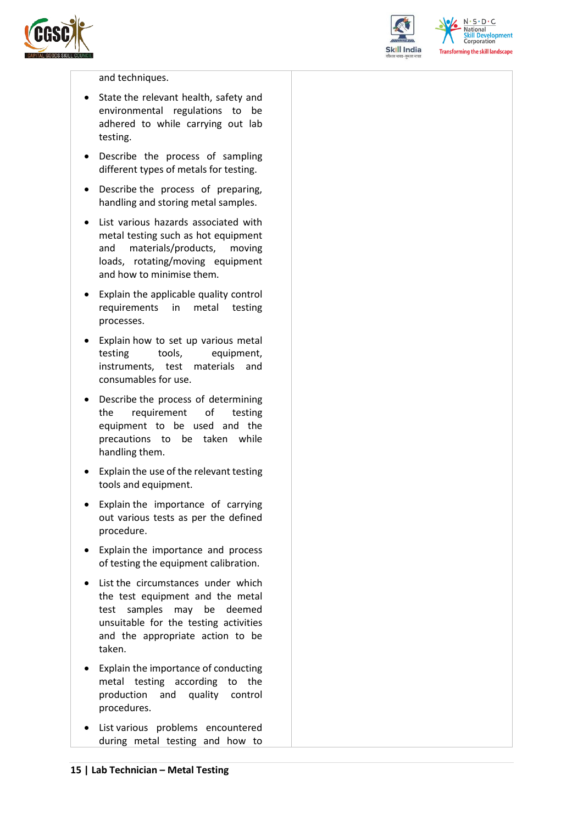



 $N.5.0.6$ **National Skill Development**<br>Corporation **Transforming the skill landscape** 

#### and techniques.

- State the relevant health, safety and environmental regulations to be adhered to while carrying out lab testing.
- Describe the process of sampling different types of metals for testing.
- Describe the process of preparing, handling and storing metal samples.
- List various hazards associated with metal testing such as hot equipment and materials/products, moving loads, rotating/moving equipment and how to minimise them.
- Explain the applicable quality control requirements in metal testing processes.
- Explain how to set up various metal testing tools, equipment, instruments, test materials and consumables for use.
- Describe the process of determining the requirement of testing equipment to be used and the precautions to be taken while handling them.
- Explain the use of the relevant testing tools and equipment.
- Explain the importance of carrying out various tests as per the defined procedure.
- Explain the importance and process of testing the equipment calibration.
- List the circumstances under which the test equipment and the metal test samples may be deemed unsuitable for the testing activities and the appropriate action to be taken.
- Explain the importance of conducting metal testing according to the production and quality control procedures.
- List various problems encountered during metal testing and how to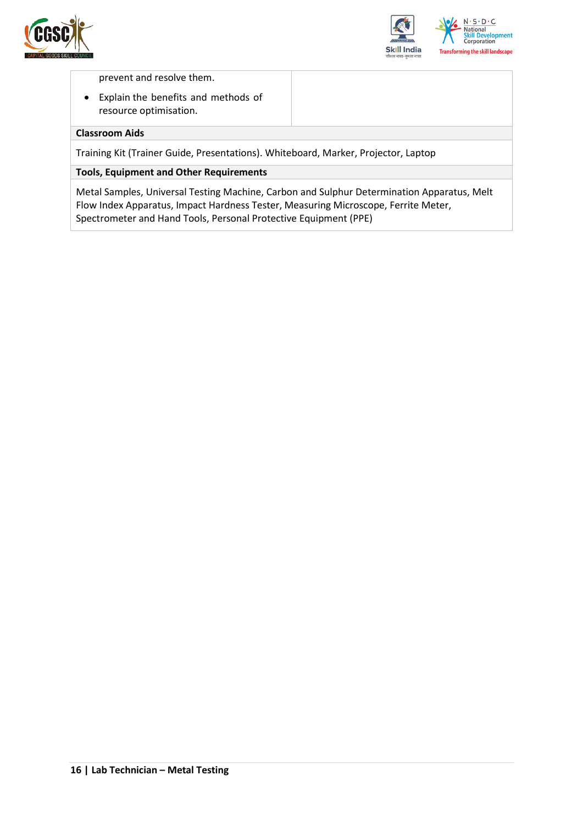



prevent and resolve them.

• Explain the benefits and methods of resource optimisation.

#### **Classroom Aids**

Training Kit (Trainer Guide, Presentations). Whiteboard, Marker, Projector, Laptop

#### **Tools, Equipment and Other Requirements**

Metal Samples, Universal Testing Machine, Carbon and Sulphur Determination Apparatus, Melt Flow Index Apparatus, Impact Hardness Tester, Measuring Microscope, Ferrite Meter, Spectrometer and Hand Tools, Personal Protective Equipment (PPE)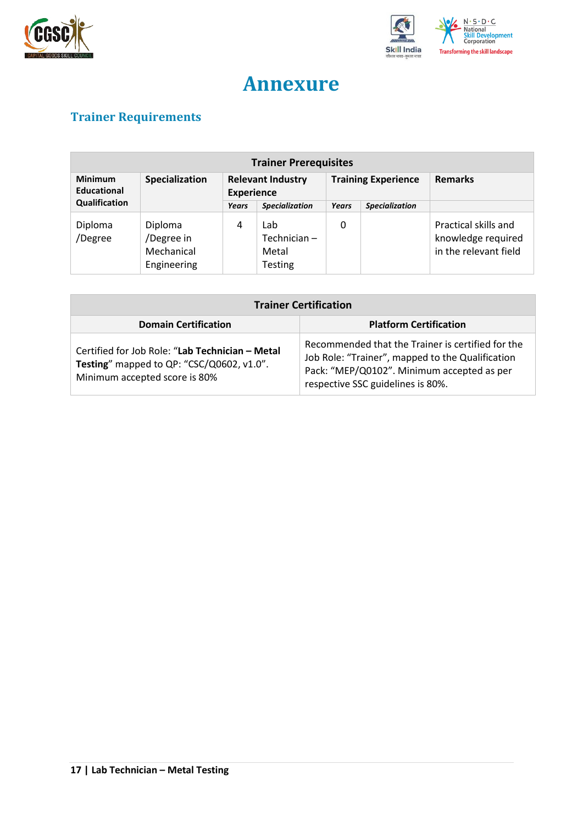



## **Annexure**

## <span id="page-16-1"></span><span id="page-16-0"></span>**Trainer Requirements**

| <b>Trainer Prerequisites</b>         |                                                    |                                               |                                               |                            |                       |                                                                     |
|--------------------------------------|----------------------------------------------------|-----------------------------------------------|-----------------------------------------------|----------------------------|-----------------------|---------------------------------------------------------------------|
| <b>Minimum</b><br><b>Educational</b> | Specialization                                     | <b>Relevant Industry</b><br><b>Experience</b> |                                               | <b>Training Experience</b> |                       | <b>Remarks</b>                                                      |
| Qualification                        |                                                    | Years                                         | <b>Specialization</b>                         | Years                      | <b>Specialization</b> |                                                                     |
| Diploma<br>/Degree                   | Diploma<br>/Degree in<br>Mechanical<br>Engineering | 4                                             | Lab<br>Technician-<br>Metal<br><b>Testing</b> | 0                          |                       | Practical skills and<br>knowledge required<br>in the relevant field |

| <b>Trainer Certification</b>                                                                                                  |                                                                                                                                                                                          |  |  |  |
|-------------------------------------------------------------------------------------------------------------------------------|------------------------------------------------------------------------------------------------------------------------------------------------------------------------------------------|--|--|--|
| <b>Domain Certification</b>                                                                                                   | <b>Platform Certification</b>                                                                                                                                                            |  |  |  |
| Certified for Job Role: "Lab Technician - Metal<br>Testing" mapped to QP: "CSC/Q0602, v1.0".<br>Minimum accepted score is 80% | Recommended that the Trainer is certified for the<br>Job Role: "Trainer", mapped to the Qualification<br>Pack: "MEP/Q0102". Minimum accepted as per<br>respective SSC guidelines is 80%. |  |  |  |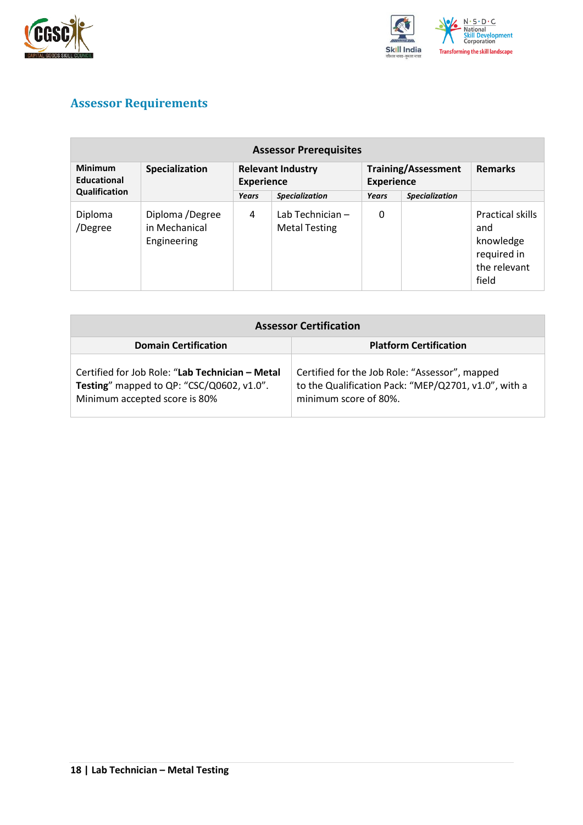



### <span id="page-17-0"></span>**Assessor Requirements**

| <b>Assessor Prerequisites</b>                   |                                                 |                                               |                                          |                                                 |                       |                                                                              |  |
|-------------------------------------------------|-------------------------------------------------|-----------------------------------------------|------------------------------------------|-------------------------------------------------|-----------------------|------------------------------------------------------------------------------|--|
| <b>Minimum</b><br>Specialization<br>Educational |                                                 | <b>Relevant Industry</b><br><b>Experience</b> |                                          | <b>Training/Assessment</b><br><b>Experience</b> |                       | <b>Remarks</b>                                                               |  |
| Qualification                                   |                                                 | Years                                         | <b>Specialization</b>                    | Years                                           | <b>Specialization</b> |                                                                              |  |
| Diploma<br>/Degree                              | Diploma /Degree<br>in Mechanical<br>Engineering | 4                                             | Lab Technician -<br><b>Metal Testing</b> | 0                                               |                       | Practical skills<br>and<br>knowledge<br>required in<br>the relevant<br>field |  |

| <b>Assessor Certification</b>                                                                                                 |                                                                                                                                 |
|-------------------------------------------------------------------------------------------------------------------------------|---------------------------------------------------------------------------------------------------------------------------------|
| <b>Domain Certification</b>                                                                                                   | <b>Platform Certification</b>                                                                                                   |
| Certified for Job Role: "Lab Technician - Metal<br>Testing" mapped to QP: "CSC/Q0602, v1.0".<br>Minimum accepted score is 80% | Certified for the Job Role: "Assessor", mapped<br>to the Qualification Pack: "MEP/Q2701, v1.0", with a<br>minimum score of 80%. |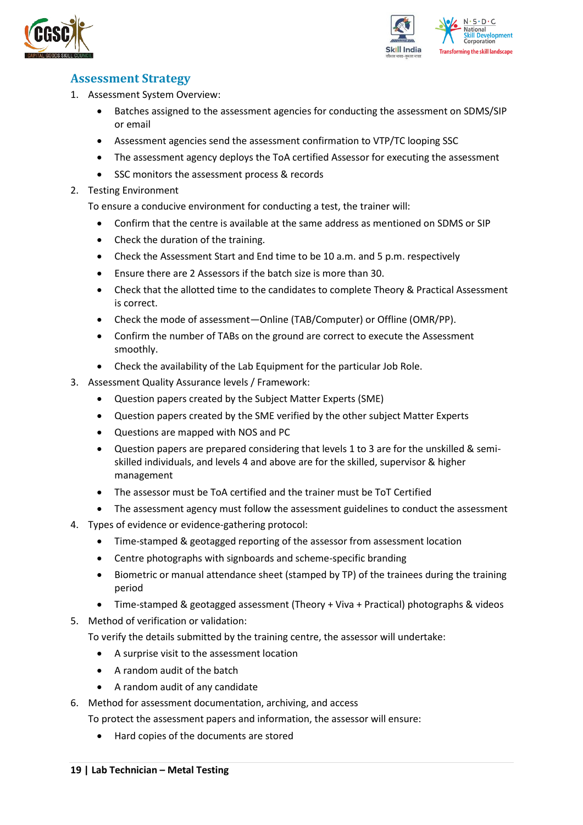



### <span id="page-18-0"></span>**Assessment Strategy**

- 1. Assessment System Overview:
	- Batches assigned to the assessment agencies for conducting the assessment on SDMS/SIP or email
	- Assessment agencies send the assessment confirmation to VTP/TC looping SSC
	- The assessment agency deploys the ToA certified Assessor for executing the assessment
	- SSC monitors the assessment process & records
- 2. Testing Environment

To ensure a conducive environment for conducting a test, the trainer will:

- Confirm that the centre is available at the same address as mentioned on SDMS or SIP
- Check the duration of the training.
- Check the Assessment Start and End time to be 10 a.m. and 5 p.m. respectively
- Ensure there are 2 Assessors if the batch size is more than 30.
- Check that the allotted time to the candidates to complete Theory & Practical Assessment is correct.
- Check the mode of assessment—Online (TAB/Computer) or Offline (OMR/PP).
- Confirm the number of TABs on the ground are correct to execute the Assessment smoothly.
- Check the availability of the Lab Equipment for the particular Job Role.
- 3. Assessment Quality Assurance levels / Framework:
	- Question papers created by the Subject Matter Experts (SME)
	- Question papers created by the SME verified by the other subject Matter Experts
	- Questions are mapped with NOS and PC
	- Question papers are prepared considering that levels 1 to 3 are for the unskilled & semiskilled individuals, and levels 4 and above are for the skilled, supervisor & higher management
	- The assessor must be ToA certified and the trainer must be ToT Certified
	- The assessment agency must follow the assessment guidelines to conduct the assessment
- 4. Types of evidence or evidence-gathering protocol:
	- Time-stamped & geotagged reporting of the assessor from assessment location
	- Centre photographs with signboards and scheme-specific branding
	- Biometric or manual attendance sheet (stamped by TP) of the trainees during the training period
	- Time-stamped & geotagged assessment (Theory + Viva + Practical) photographs & videos
- 5. Method of verification or validation:

To verify the details submitted by the training centre, the assessor will undertake:

- A surprise visit to the assessment location
- A random audit of the batch
- A random audit of any candidate
- 6. Method for assessment documentation, archiving, and access
	- To protect the assessment papers and information, the assessor will ensure:
		- Hard copies of the documents are stored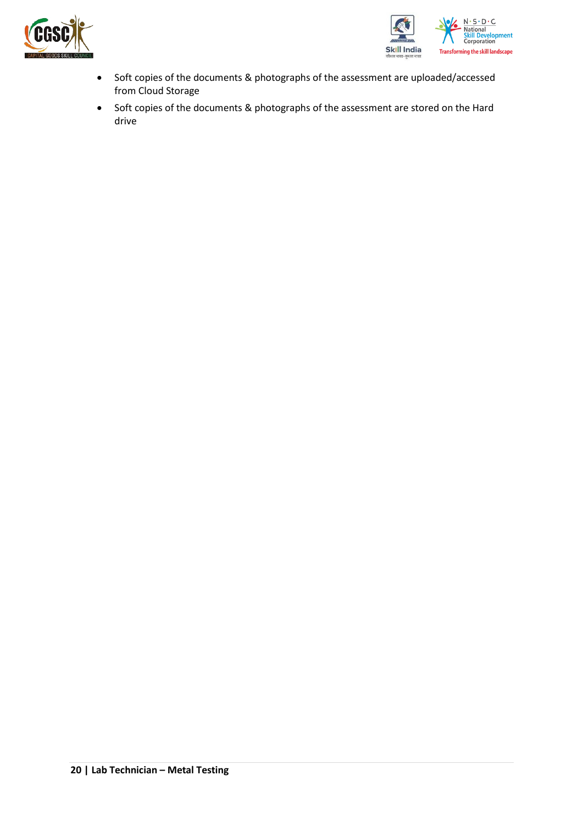



- Soft copies of the documents & photographs of the assessment are uploaded/accessed from Cloud Storage
- Soft copies of the documents & photographs of the assessment are stored on the Hard drive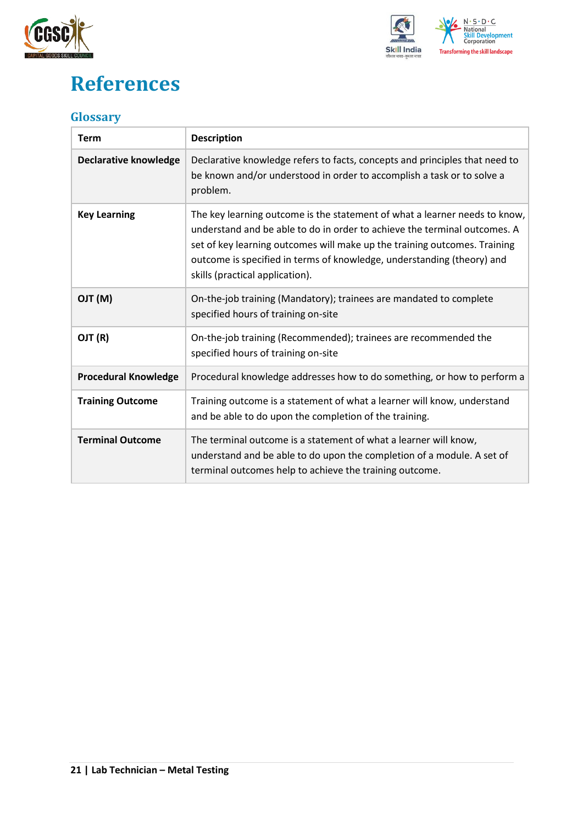



## <span id="page-20-0"></span>**References**

### <span id="page-20-1"></span>**Glossary**

| <b>Term</b>                  | <b>Description</b>                                                                                                                                                                                                                                                                                                                                |
|------------------------------|---------------------------------------------------------------------------------------------------------------------------------------------------------------------------------------------------------------------------------------------------------------------------------------------------------------------------------------------------|
| <b>Declarative knowledge</b> | Declarative knowledge refers to facts, concepts and principles that need to<br>be known and/or understood in order to accomplish a task or to solve a<br>problem.                                                                                                                                                                                 |
| <b>Key Learning</b>          | The key learning outcome is the statement of what a learner needs to know,<br>understand and be able to do in order to achieve the terminal outcomes. A<br>set of key learning outcomes will make up the training outcomes. Training<br>outcome is specified in terms of knowledge, understanding (theory) and<br>skills (practical application). |
| (M) TLO                      | On-the-job training (Mandatory); trainees are mandated to complete<br>specified hours of training on-site                                                                                                                                                                                                                                         |
| OJT (R)                      | On-the-job training (Recommended); trainees are recommended the<br>specified hours of training on-site                                                                                                                                                                                                                                            |
| <b>Procedural Knowledge</b>  | Procedural knowledge addresses how to do something, or how to perform a                                                                                                                                                                                                                                                                           |
| <b>Training Outcome</b>      | Training outcome is a statement of what a learner will know, understand<br>and be able to do upon the completion of the training.                                                                                                                                                                                                                 |
| <b>Terminal Outcome</b>      | The terminal outcome is a statement of what a learner will know,<br>understand and be able to do upon the completion of a module. A set of<br>terminal outcomes help to achieve the training outcome.                                                                                                                                             |